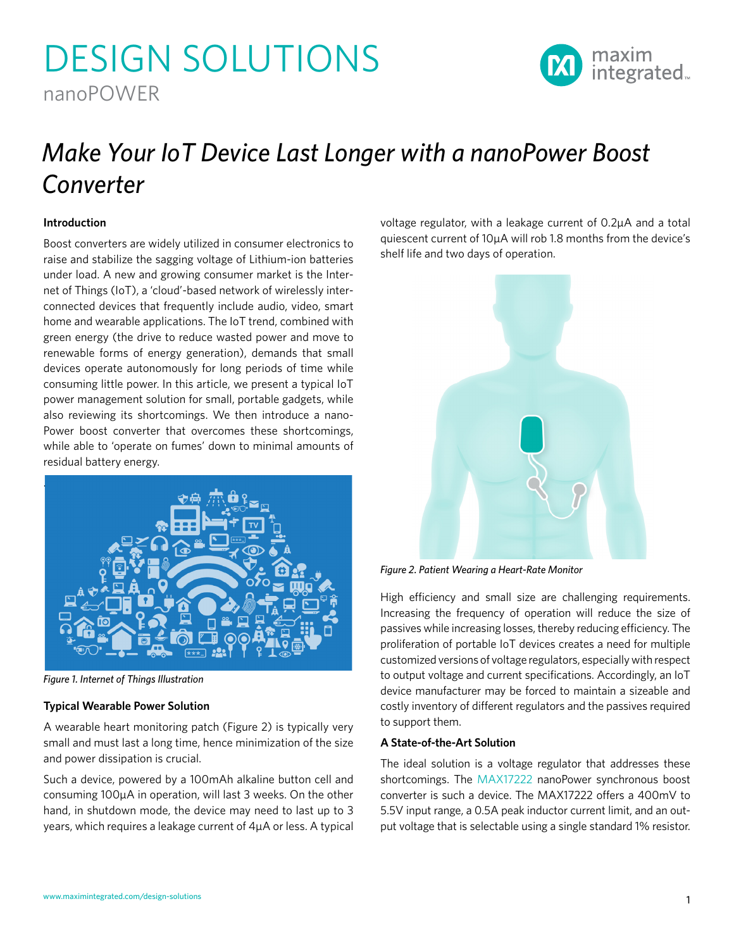# DESIGN SOLUTIONS nanoPOWER



## *Make Your IoT Device Last Longer with a nanoPower Boost Converter*

#### **Introduction**

Boost converters are widely utilized in consumer electronics to raise and stabilize the sagging voltage of Lithium-ion batteries under load. A new and growing consumer market is the Internet of Things (IoT), a 'cloud'-based network of wirelessly interconnected devices that frequently include audio, video, smart home and wearable applications. The IoT trend, combined with green energy (the drive to reduce wasted power and move to renewable forms of energy generation), demands that small devices operate autonomously for long periods of time while consuming little power. In this article, we present a typical IoT power management solution for small, portable gadgets, while also reviewing its shortcomings. We then introduce a nano-Power boost converter that overcomes these shortcomings, while able to 'operate on fumes' down to minimal amounts of residual battery energy.



*Figure 1. Internet of Things Illustration*

#### **Typical Wearable Power Solution**

A wearable heart monitoring patch (Figure 2) is typically very small and must last a long time, hence minimization of the size and power dissipation is crucial.

Such a device, powered by a 100mAh alkaline button cell and consuming 100µA in operation, will last 3 weeks. On the other hand, in shutdown mode, the device may need to last up to 3 years, which requires a leakage current of 4µA or less. A typical

voltage regulator, with a leakage current of 0.2µA and a total quiescent current of 10µA will rob 1.8 months from the device's shelf life and two days of operation.



*Figure 2. Patient Wearing a Heart-Rate Monitor*

High efficiency and small size are challenging requirements. Increasing the frequency of operation will reduce the size of passives while increasing losses, thereby reducing efficiency. The proliferation of portable IoT devices creates a need for multiple customized versions of voltage regulators, especially with respect to output voltage and current specifications. Accordingly, an IoT device manufacturer may be forced to maintain a sizeable and costly inventory of different regulators and the passives required to support them.

#### **A State-of-the-Art Solution**

The ideal solution is a voltage regulator that addresses these shortcomings. The [MAX17222](https://www.maximintegrated.com/MAX17222) nanoPower synchronous boost converter is such a device. The MAX17222 offers a 400mV to 5.5V input range, a 0.5A peak inductor current limit, and an output voltage that is selectable using a single standard 1% resistor.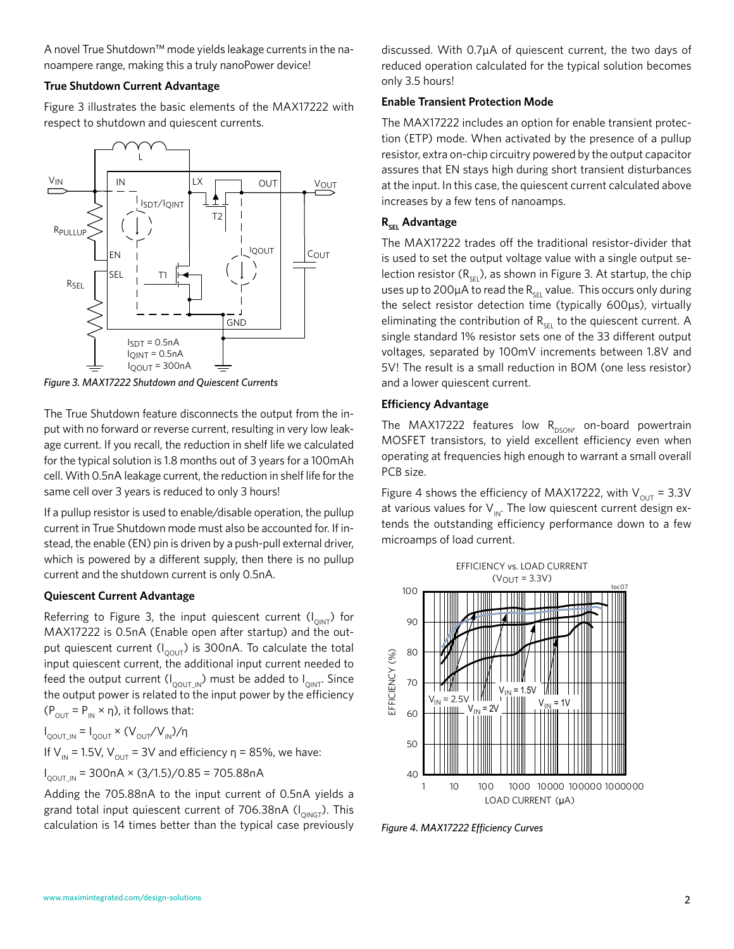A novel True Shutdown™ mode yields leakage currents in the nanoampere range, making this a truly nanoPower device!

#### **True Shutdown Current Advantage**

Figure 3 illustrates the basic elements of the MAX17222 with respect to shutdown and quiescent currents.



*Figure 3. MAX17222 Shutdown and Quiescent Currents*

The True Shutdown feature disconnects the output from the input with no forward or reverse current, resulting in very low leakage current. If you recall, the reduction in shelf life we calculated for the typical solution is 1.8 months out of 3 years for a 100mAh cell. With 0.5nA leakage current, the reduction in shelf life for the same cell over 3 years is reduced to only 3 hours!

If a pullup resistor is used to enable/disable operation, the pullup current in True Shutdown mode must also be accounted for. If instead, the enable (EN) pin is driven by a push-pull external driver, which is powered by a different supply, then there is no pullup current and the shutdown current is only 0.5nA.

#### **Quiescent Current Advantage**

Referring to Figure 3, the input quiescent current  $(I_{OMT})$  for MAX17222 is 0.5nA (Enable open after startup) and the output quiescent current  $(I_{\text{OOLIT}})$  is 300nA. To calculate the total input quiescent current, the additional input current needed to feed the output current  $(I_{\text{QOUT\_IN}})$  must be added to  $I_{\text{QINT}}$ . Since the output power is related to the input power by the efficiency  $(P_{\text{OUT}} = P_{\text{IN}} \times \eta)$ , it follows that:

 $I_{\text{QOUT\_IN}} = I_{\text{QOUT}} \times (V_{\text{OUT}}/V_{\text{IN}})/\eta$ 

If V<sub>IN</sub> = 1.5V, V<sub>OUT</sub> = 3V and efficiency η = 85%, we have:

I<sub>QOUT\_IN</sub> = 300nA × (3/1.5)/0.85 = 705.88nA

Adding the 705.88nA to the input current of 0.5nA yields a grand total input quiescent current of 706.38nA ( $I_{OMGT}$ ). This calculation is 14 times better than the typical case previously discussed. With 0.7µA of quiescent current, the two days of reduced operation calculated for the typical solution becomes only 3.5 hours!

#### **Enable Transient Protection Mode**

The MAX17222 includes an option for enable transient protection (ETP) mode. When activated by the presence of a pullup resistor, extra on-chip circuitry powered by the output capacitor assures that EN stays high during short transient disturbances at the input. In this case, the quiescent current calculated above increases by a few tens of nanoamps.

#### **R<sub>SEL</sub>** Advantage

The MAX17222 trades off the traditional resistor-divider that is used to set the output voltage value with a single output selection resistor  $(R_{\text{SE}})$ , as shown in Figure 3. At startup, the chip uses up to 200 $\mu$ A to read the R<sub>SEL</sub> value. This occurs only during the select resistor detection time (typically 600µs), virtually eliminating the contribution of  $R_{\text{SEL}}$  to the quiescent current. A single standard 1% resistor sets one of the 33 different output voltages, separated by 100mV increments between 1.8V and 5V! The result is a small reduction in BOM (one less resistor) and a lower quiescent current.

#### **Efficiency Advantage**

The MAX17222 features low  $R_{DSON'}$  on-board powertrain MOSFET transistors, to yield excellent efficiency even when operating at frequencies high enough to warrant a small overall PCB size.

Figure 4 shows the efficiency of MAX17222, with  $V_{\text{OUT}} = 3.3V$ at various values for  $V_{\text{IN}}$ . The low quiescent current design extends the outstanding efficiency performance down to a few microamps of load current.



*Figure 4. MAX17222 Efficiency Curves*